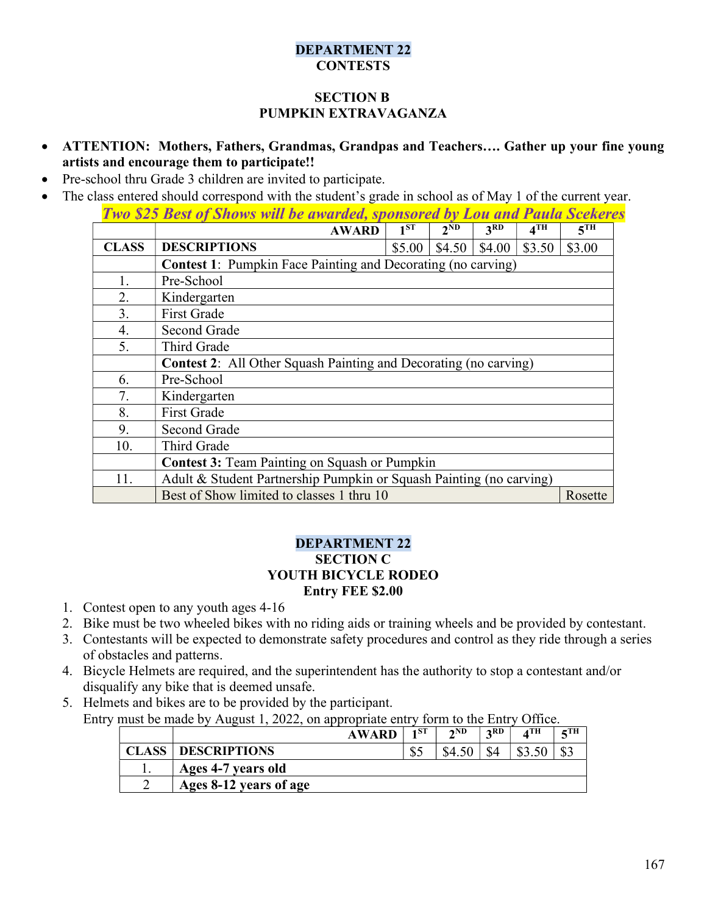### DEPARTMENT 22 **CONTESTS**

# SECTION B PUMPKIN EXTRAVAGANZA

- ATTENTION: Mothers, Fathers, Grandmas, Grandpas and Teachers…. Gather up your fine young artists and encourage them to participate!!
- Pre-school thru Grade 3 children are invited to participate.
- The class entered should correspond with the student's grade in school as of May 1 of the current year.

| <b>Two \$25 Best of Shows will be awarded, sponsored by Lou and Paula Scekeres</b> |                                                                         |          |          |                 |                 |                 |  |
|------------------------------------------------------------------------------------|-------------------------------------------------------------------------|----------|----------|-----------------|-----------------|-----------------|--|
|                                                                                    | <b>AWARD</b>                                                            | $1^{ST}$ | $2^{ND}$ | 3 <sub>RD</sub> | 4 <sup>TH</sup> | 5 <sup>TH</sup> |  |
| <b>CLASS</b>                                                                       | <b>DESCRIPTIONS</b>                                                     | \$5.00   | \$4.50   | \$4.00          | \$3.50          | \$3.00          |  |
|                                                                                    | <b>Contest 1:</b> Pumpkin Face Painting and Decorating (no carving)     |          |          |                 |                 |                 |  |
| 1.                                                                                 | Pre-School                                                              |          |          |                 |                 |                 |  |
| 2.                                                                                 | Kindergarten                                                            |          |          |                 |                 |                 |  |
| 3.                                                                                 | <b>First Grade</b>                                                      |          |          |                 |                 |                 |  |
| 4.                                                                                 | Second Grade                                                            |          |          |                 |                 |                 |  |
| 5.                                                                                 | Third Grade                                                             |          |          |                 |                 |                 |  |
|                                                                                    | <b>Contest 2:</b> All Other Squash Painting and Decorating (no carving) |          |          |                 |                 |                 |  |
| 6.                                                                                 | Pre-School                                                              |          |          |                 |                 |                 |  |
| 7.                                                                                 | Kindergarten                                                            |          |          |                 |                 |                 |  |
| 8.                                                                                 | <b>First Grade</b>                                                      |          |          |                 |                 |                 |  |
| 9.                                                                                 | Second Grade                                                            |          |          |                 |                 |                 |  |
| 10.                                                                                | Third Grade                                                             |          |          |                 |                 |                 |  |
|                                                                                    | <b>Contest 3: Team Painting on Squash or Pumpkin</b>                    |          |          |                 |                 |                 |  |
| 11.                                                                                | Adult & Student Partnership Pumpkin or Squash Painting (no carving)     |          |          |                 |                 |                 |  |
|                                                                                    | Best of Show limited to classes 1 thru 10                               |          |          |                 |                 | Rosette         |  |

#### DEPARTMENT 22 SECTION C YOUTH BICYCLE RODEO Entry FEE \$2.00

- 1. Contest open to any youth ages 4-16
- 2. Bike must be two wheeled bikes with no riding aids or training wheels and be provided by contestant.
- 3. Contestants will be expected to demonstrate safety procedures and control as they ride through a series of obstacles and patterns.
- 4. Bicycle Helmets are required, and the superintendent has the authority to stop a contestant and/or disqualify any bike that is deemed unsafe.
- 5. Helmets and bikes are to be provided by the participant. Entry must be made by August 1, 2022, on appropriate entry form to the Entry Office.

|       |                        | <b>AWARD</b> | 1 ST | 2ND | 2RD | $\mathbf{A}^{\text{TH}}$ | $\epsilon$ TH |
|-------|------------------------|--------------|------|-----|-----|--------------------------|---------------|
| CLASS | <b>DESCRIPTIONS</b>    |              | കം   |     |     |                          |               |
|       | Ages 4-7 years old     |              |      |     |     |                          |               |
|       | Ages 8-12 years of age |              |      |     |     |                          |               |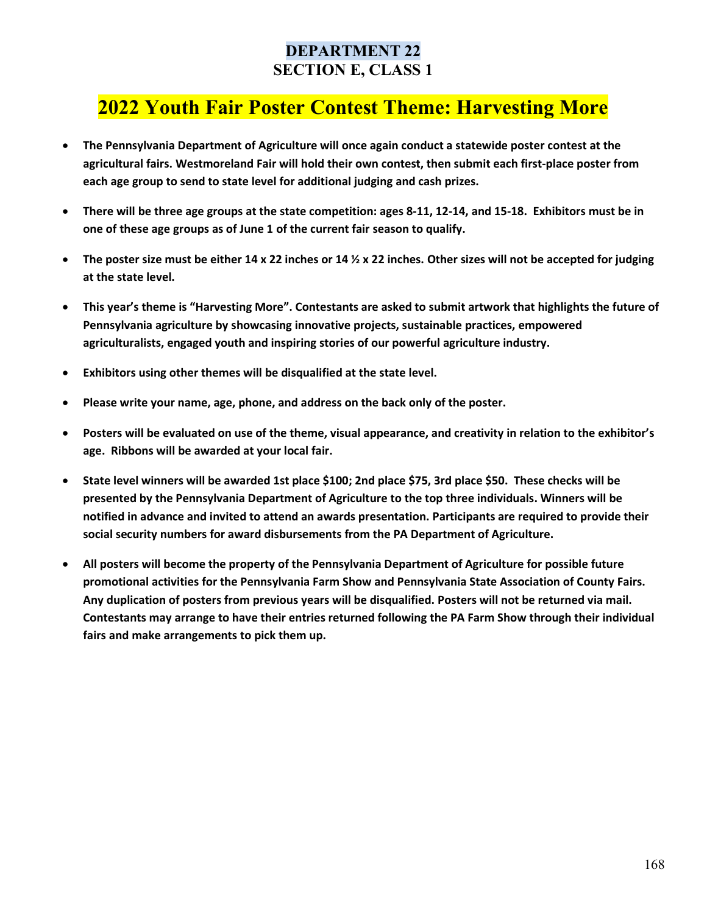# DEPARTMENT 22 SECTION E, CLASS 1

# 2022 Youth Fair Poster Contest Theme: Harvesting More

- The Pennsylvania Department of Agriculture will once again conduct a statewide poster contest at the agricultural fairs. Westmoreland Fair will hold their own contest, then submit each first-place poster from each age group to send to state level for additional judging and cash prizes.
- There will be three age groups at the state competition: ages 8-11, 12-14, and 15-18. Exhibitors must be in one of these age groups as of June 1 of the current fair season to qualify.
- The poster size must be either 14 x 22 inches or 14  $\frac{1}{2}$  x 22 inches. Other sizes will not be accepted for judging at the state level.
- This year's theme is "Harvesting More". Contestants are asked to submit artwork that highlights the future of Pennsylvania agriculture by showcasing innovative projects, sustainable practices, empowered agriculturalists, engaged youth and inspiring stories of our powerful agriculture industry.
- Exhibitors using other themes will be disqualified at the state level.
- Please write your name, age, phone, and address on the back only of the poster.
- Posters will be evaluated on use of the theme, visual appearance, and creativity in relation to the exhibitor's age. Ribbons will be awarded at your local fair.
- State level winners will be awarded 1st place \$100; 2nd place \$75, 3rd place \$50. These checks will be presented by the Pennsylvania Department of Agriculture to the top three individuals. Winners will be notified in advance and invited to attend an awards presentation. Participants are required to provide their social security numbers for award disbursements from the PA Department of Agriculture.
- All posters will become the property of the Pennsylvania Department of Agriculture for possible future promotional activities for the Pennsylvania Farm Show and Pennsylvania State Association of County Fairs. Any duplication of posters from previous years will be disqualified. Posters will not be returned via mail. Contestants may arrange to have their entries returned following the PA Farm Show through their individual fairs and make arrangements to pick them up.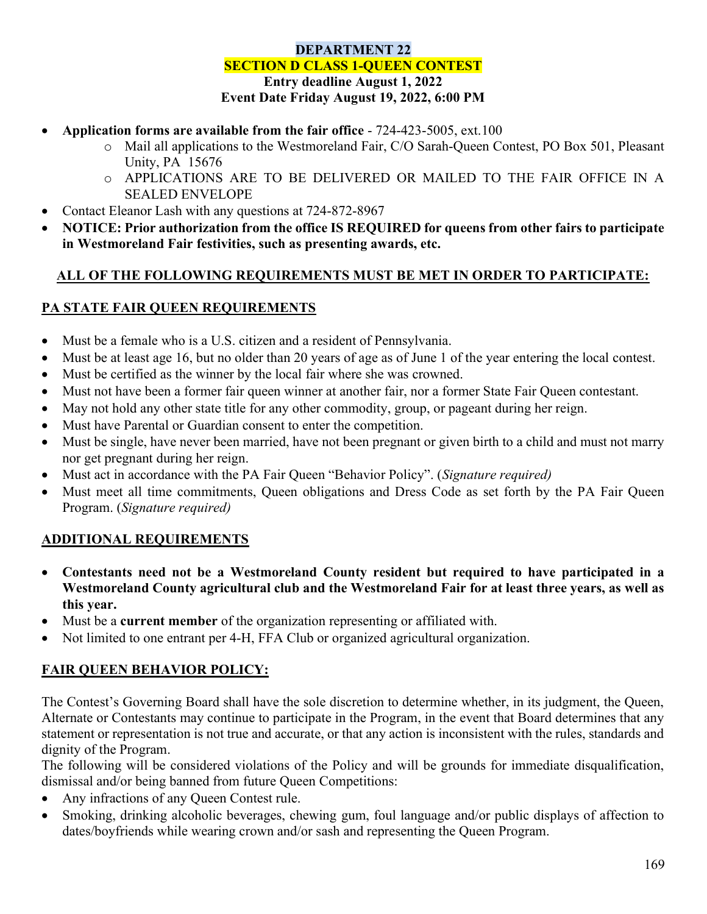## DEPARTMENT 22 SECTION D CLASS 1-QUEEN CONTEST Entry deadline August 1, 2022 Event Date Friday August 19, 2022, 6:00 PM

- Application forms are available from the fair office 724-423-5005, ext.100
	- o Mail all applications to the Westmoreland Fair, C/O Sarah-Queen Contest, PO Box 501, Pleasant Unity, PA 15676
	- o APPLICATIONS ARE TO BE DELIVERED OR MAILED TO THE FAIR OFFICE IN A SEALED ENVELOPE
- Contact Eleanor Lash with any questions at 724-872-8967
- NOTICE: Prior authorization from the office IS REQUIRED for queens from other fairs to participate in Westmoreland Fair festivities, such as presenting awards, etc.

# ALL OF THE FOLLOWING REQUIREMENTS MUST BE MET IN ORDER TO PARTICIPATE:

# PA STATE FAIR QUEEN REQUIREMENTS

- Must be a female who is a U.S. citizen and a resident of Pennsylvania.
- Must be at least age 16, but no older than 20 years of age as of June 1 of the year entering the local contest.
- Must be certified as the winner by the local fair where she was crowned.
- Must not have been a former fair queen winner at another fair, nor a former State Fair Queen contestant.
- May not hold any other state title for any other commodity, group, or pageant during her reign.
- Must have Parental or Guardian consent to enter the competition.
- Must be single, have never been married, have not been pregnant or given birth to a child and must not marry nor get pregnant during her reign.
- Must act in accordance with the PA Fair Queen "Behavior Policy". (Signature required)
- Must meet all time commitments, Queen obligations and Dress Code as set forth by the PA Fair Queen Program. (Signature required)

# ADDITIONAL REQUIREMENTS

- Contestants need not be a Westmoreland County resident but required to have participated in a Westmoreland County agricultural club and the Westmoreland Fair for at least three years, as well as this year.
- Must be a current member of the organization representing or affiliated with.
- Not limited to one entrant per 4-H, FFA Club or organized agricultural organization.

# FAIR QUEEN BEHAVIOR POLICY:

The Contest's Governing Board shall have the sole discretion to determine whether, in its judgment, the Queen, Alternate or Contestants may continue to participate in the Program, in the event that Board determines that any statement or representation is not true and accurate, or that any action is inconsistent with the rules, standards and dignity of the Program.

The following will be considered violations of the Policy and will be grounds for immediate disqualification, dismissal and/or being banned from future Queen Competitions:

- Any infractions of any Queen Contest rule.
- Smoking, drinking alcoholic beverages, chewing gum, foul language and/or public displays of affection to dates/boyfriends while wearing crown and/or sash and representing the Queen Program.